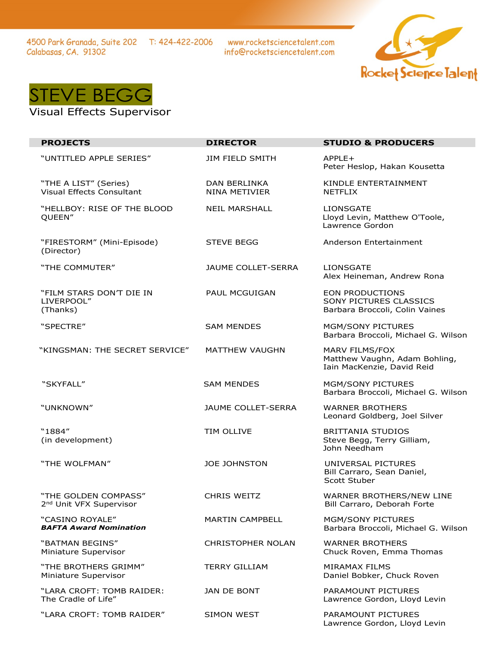4500 Park Granada, Suite 202 T: 424-422-2006 Calabasas, CA. 91302

www.rocketsciencetalent.com info@rocketsciencetalent.com





## Visual Effects Supervisor

| <b>PROJECTS</b>                                             | <b>DIRECTOR</b>                             | <b>STUDIO &amp; PRODUCERS</b>                                                             |
|-------------------------------------------------------------|---------------------------------------------|-------------------------------------------------------------------------------------------|
| "UNTITLED APPLE SERIES"                                     | <b>JIM FIELD SMITH</b>                      | $APPLE+$<br>Peter Heslop, Hakan Kousetta                                                  |
| "THE A LIST" (Series)<br>Visual Effects Consultant          | <b>DAN BERLINKA</b><br><b>NINA METIVIER</b> | KINDLE ENTERTAINMENT<br><b>NETFLIX</b>                                                    |
| "HELLBOY: RISE OF THE BLOOD<br>QUEEN"                       | <b>NEIL MARSHALL</b>                        | <b>LIONSGATE</b><br>Lloyd Levin, Matthew O'Toole,<br>Lawrence Gordon                      |
| "FIRESTORM" (Mini-Episode)<br>(Director)                    | <b>STEVE BEGG</b>                           | Anderson Entertainment                                                                    |
| "THE COMMUTER"                                              | JAUME COLLET-SERRA                          | <b>LIONSGATE</b><br>Alex Heineman, Andrew Rona                                            |
| "FILM STARS DON'T DIE IN<br>LIVERPOOL"<br>(Thanks)          | <b>PAUL MCGUIGAN</b>                        | <b>EON PRODUCTIONS</b><br><b>SONY PICTURES CLASSICS</b><br>Barbara Broccoli, Colin Vaines |
| "SPECTRE"                                                   | <b>SAM MENDES</b>                           | <b>MGM/SONY PICTURES</b><br>Barbara Broccoli, Michael G. Wilson                           |
| "KINGSMAN: THE SECRET SERVICE"                              | <b>MATTHEW VAUGHN</b>                       | MARV FILMS/FOX<br>Matthew Vaughn, Adam Bohling,<br>Iain MacKenzie, David Reid             |
| "SKYFALL"                                                   | <b>SAM MENDES</b>                           | MGM/SONY PICTURES<br>Barbara Broccoli, Michael G. Wilson                                  |
| "UNKNOWN"                                                   | <b>JAUME COLLET-SERRA</b>                   | <b>WARNER BROTHERS</b><br>Leonard Goldberg, Joel Silver                                   |
| "1884"<br>(in development)                                  | TIM OLLIVE                                  | <b>BRITTANIA STUDIOS</b><br>Steve Begg, Terry Gilliam,<br>John Needham                    |
| "THE WOLFMAN"                                               | <b>JOE JOHNSTON</b>                         | UNIVERSAL PICTURES<br>Bill Carraro, Sean Daniel,<br>Scott Stuber                          |
| "THE GOLDEN COMPASS"<br>2 <sup>nd</sup> Unit VFX Supervisor | <b>CHRIS WEITZ</b>                          | WARNER BROTHERS/NEW LINE<br>Bill Carraro, Deborah Forte                                   |
| "CASINO ROYALE"<br><b>BAFTA Award Nomination</b>            | <b>MARTIN CAMPBELL</b>                      | MGM/SONY PICTURES<br>Barbara Broccoli, Michael G. Wilson                                  |
| "BATMAN BEGINS"<br>Miniature Supervisor                     | <b>CHRISTOPHER NOLAN</b>                    | <b>WARNER BROTHERS</b><br>Chuck Roven, Emma Thomas                                        |
| "THE BROTHERS GRIMM"<br>Miniature Supervisor                | <b>TERRY GILLIAM</b>                        | <b>MIRAMAX FILMS</b><br>Daniel Bobker, Chuck Roven                                        |
| "LARA CROFT: TOMB RAIDER:<br>The Cradle of Life"            | <b>JAN DE BONT</b>                          | <b>PARAMOUNT PICTURES</b><br>Lawrence Gordon, Lloyd Levin                                 |
| "LARA CROFT: TOMB RAIDER"                                   | SIMON WEST                                  | <b>PARAMOUNT PICTURES</b><br>Lawrence Gordon, Lloyd Levin                                 |